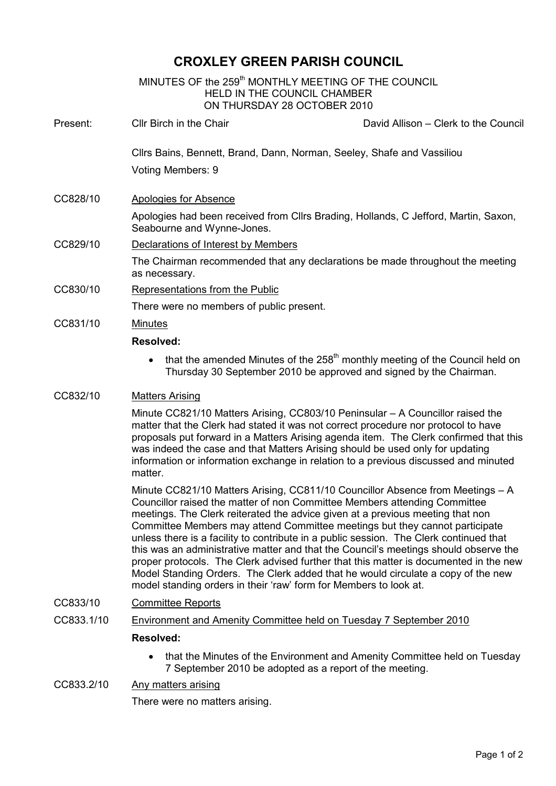# CROXLEY GREEN PARISH COUNCIL

|          |                                                                                                                                                                                                                                                                                                                                                                                                                                                  | MINUTES OF the 259 <sup>th</sup> MONTHLY MEETING OF THE COUNCIL<br>HELD IN THE COUNCIL CHAMBER<br>ON THURSDAY 28 OCTOBER 2010                                  |
|----------|--------------------------------------------------------------------------------------------------------------------------------------------------------------------------------------------------------------------------------------------------------------------------------------------------------------------------------------------------------------------------------------------------------------------------------------------------|----------------------------------------------------------------------------------------------------------------------------------------------------------------|
| Present: | Cllr Birch in the Chair                                                                                                                                                                                                                                                                                                                                                                                                                          | David Allison - Clerk to the Council                                                                                                                           |
|          | Cllrs Bains, Bennett, Brand, Dann, Norman, Seeley, Shafe and Vassiliou                                                                                                                                                                                                                                                                                                                                                                           |                                                                                                                                                                |
|          | Voting Members: 9                                                                                                                                                                                                                                                                                                                                                                                                                                |                                                                                                                                                                |
| CC828/10 | Apologies for Absence                                                                                                                                                                                                                                                                                                                                                                                                                            |                                                                                                                                                                |
|          | Apologies had been received from Cllrs Brading, Hollands, C Jefford, Martin, Saxon,<br>Seabourne and Wynne-Jones.                                                                                                                                                                                                                                                                                                                                |                                                                                                                                                                |
| CC829/10 | Declarations of Interest by Members                                                                                                                                                                                                                                                                                                                                                                                                              |                                                                                                                                                                |
|          | The Chairman recommended that any declarations be made throughout the meeting<br>as necessary.                                                                                                                                                                                                                                                                                                                                                   |                                                                                                                                                                |
| CC830/10 | Representations from the Public                                                                                                                                                                                                                                                                                                                                                                                                                  |                                                                                                                                                                |
|          | There were no members of public present.                                                                                                                                                                                                                                                                                                                                                                                                         |                                                                                                                                                                |
| CC831/10 | <b>Minutes</b>                                                                                                                                                                                                                                                                                                                                                                                                                                   |                                                                                                                                                                |
|          | <b>Resolved:</b>                                                                                                                                                                                                                                                                                                                                                                                                                                 |                                                                                                                                                                |
|          |                                                                                                                                                                                                                                                                                                                                                                                                                                                  | that the amended Minutes of the 258 <sup>th</sup> monthly meeting of the Council held on<br>Thursday 30 September 2010 be approved and signed by the Chairman. |
| CC832/10 | <b>Matters Arising</b>                                                                                                                                                                                                                                                                                                                                                                                                                           |                                                                                                                                                                |
|          | Minute CC821/10 Matters Arising, CC803/10 Peninsular - A Councillor raised the<br>matter that the Clerk had stated it was not correct procedure nor protocol to have<br>proposals put forward in a Matters Arising agenda item. The Clerk confirmed that this<br>was indeed the case and that Matters Arising should be used only for updating<br>information or information exchange in relation to a previous discussed and minuted<br>matter. |                                                                                                                                                                |
|          | Minute CC821/10 Matters Arising, CC811/10 Councillor Absence from Meetings - A<br>Councillor raised the matter of non Committee Members attending Committee<br>meetings. The Clerk reiterated the advice given at a previous meeting that non<br>Committee Members may attend Committee meetings but they cannot participate<br>unless there is a facility to contribute in a public session . The Clerk continued that                          |                                                                                                                                                                |

unless there is a facility to contribute in a public session. The Clerk continued that this was an administrative matter and that the Council's meetings should observe the proper protocols. The Clerk advised further that this matter is documented in the new Model Standing Orders. The Clerk added that he would circulate a copy of the new model standing orders in their 'raw' form for Members to look at.

### CC833/10 Committee Reports

CC833.1/10 Environment and Amenity Committee held on Tuesday 7 September 2010

### Resolved:

• that the Minutes of the Environment and Amenity Committee held on Tuesday 7 September 2010 be adopted as a report of the meeting.

# CC833.2/10 Any matters arising

There were no matters arising.